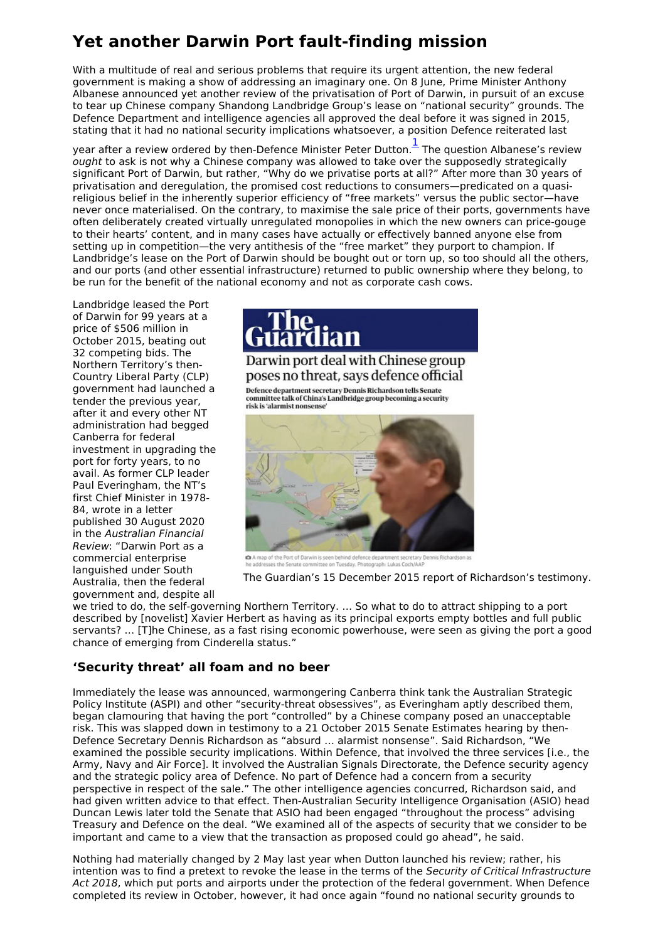## **Yet another Darwin Port fault-finding mission**

With a multitude of real and serious problems that require its urgent attention, the new federal government is making a show of addressing an imaginary one. On 8 June, Prime Minister Anthony Albanese announced yet another review of the privatisation of Port of Darwin, in pursuit of an excuse to tear up Chinese company Shandong Landbridge Group's lease on "national security" grounds. The Defence Department and intelligence agencies all approved the deal before it was signed in 2015, stating that it had no national security implications whatsoever, a position Defence reiterated last

year after a review ordered by then-Defence Minister Peter Dutton.  $\frac{1}{\cdot}$  $\frac{1}{\cdot}$  $\frac{1}{\cdot}$  The question Albanese's review ought to ask is not why a Chinese company was allowed to take over the supposedly strategically significant Port of Darwin, but rather, "Why do we privatise ports at all?" After more than 30 years of privatisation and deregulation, the promised cost reductions to consumers—predicated on a quasireligious belief in the inherently superior efficiency of "free markets" versus the public sector—have never once materialised. On the contrary, to maximise the sale price of their ports, governments have often deliberately created virtually unregulated monopolies in which the new owners can price-gouge to their hearts' content, and in many cases have actually or effectively banned anyone else from setting up in competition—the very antithesis of the "free market" they purport to champion. If Landbridge's lease on the Port of Darwin should be bought out or torn up, so too should all the others, and our ports (and other essential infrastructure) returned to public ownership where they belong, to be run for the benefit of the national economy and not as corporate cash cows.

Landbridge leased the Port of Darwin for 99 years at a price of \$506 million in October 2015, beating out 32 competing bids. The Northern Territory's then-Country Liberal Party (CLP) government had launched a tender the previous year, after it and every other NT administration had begged Canberra for federal investment in upgrading the port for forty years, to no avail. As former CLP leader Paul Everingham, the NT's first Chief Minister in 1978- 84, wrote in a letter published 30 August 2020 in the Australian Financial Review: "Darwin Port as a commercial enterprise languished under South Australia, then the federal government and, despite all

<span id="page-0-0"></span>

Darwin port deal with Chinese group poses no threat, says defence official

-<br>Defence department secretary Dennis Richardson tells Senate<br>committee talk of China's Landbridge group becoming a security risk is 'alarmist nonsense



A map of the Port of Darwin is seen behind defence d<br>he addresses the Senate committee on Tuesday. Photogr

The Guardian's 15 December 2015 report of Richardson's testimony.

we tried to do, the self-governing Northern Territory. … So what to do to attract shipping to a port described by [novelist] Xavier Herbert as having as its principal exports empty bottles and full public servants? … [T]he Chinese, as a fast rising economic powerhouse, were seen as giving the port a good chance of emerging from Cinderella status."

## **'Security threat' all foam and no beer**

Immediately the lease was announced, warmongering Canberra think tank the Australian Strategic Policy Institute (ASPI) and other "security-threat obsessives", as Everingham aptly described them, began clamouring that having the port "controlled" by a Chinese company posed an unacceptable risk. This was slapped down in testimony to a 21 October 2015 Senate Estimates hearing by then-Defence Secretary Dennis Richardson as "absurd … alarmist nonsense". Said Richardson, "We examined the possible security implications. Within Defence, that involved the three services [i.e., the Army, Navy and Air Force]. It involved the Australian Signals Directorate, the Defence security agency and the strategic policy area of Defence. No part of Defence had a concern from a security perspective in respect of the sale." The other intelligence agencies concurred, Richardson said, and had given written advice to that effect. Then-Australian Security Intelligence Organisation (ASIO) head Duncan Lewis later told the Senate that ASIO had been engaged "throughout the process" advising Treasury and Defence on the deal. "We examined all of the aspects of security that we consider to be important and came to a view that the transaction as proposed could go ahead", he said.

Nothing had materially changed by 2 May last year when Dutton launched his review; rather, his intention was to find a pretext to revoke the lease in the terms of the Security of Critical Infrastructure Act 2018, which put ports and airports under the protection of the federal government. When Defence completed its review in October, however, it had once again "found no national security grounds to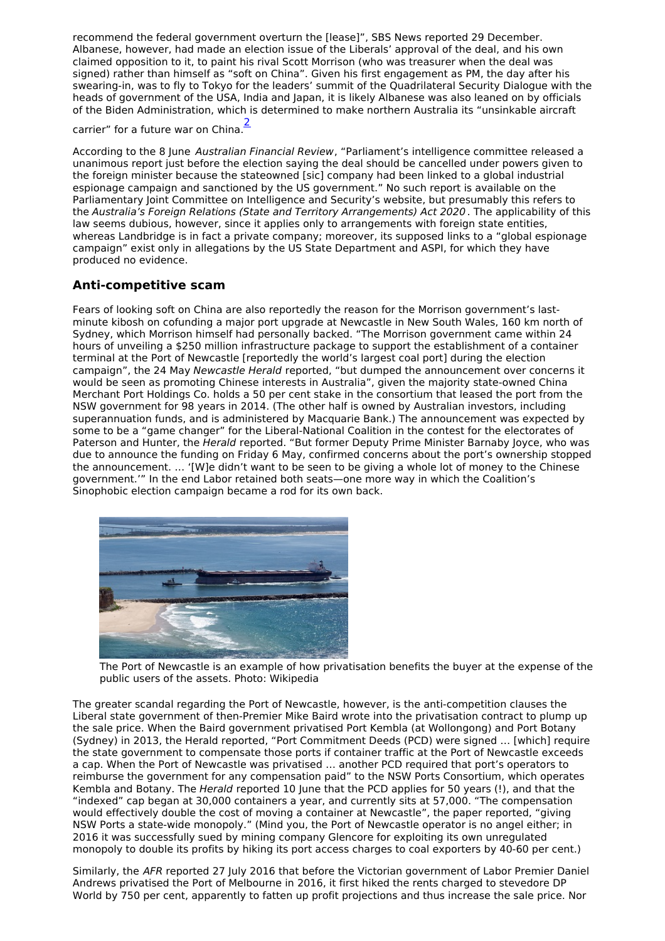recommend the federal government overturn the [lease]", SBS News reported 29 December. Albanese, however, had made an election issue of the Liberals' approval of the deal, and his own claimed opposition to it, to paint his rival Scott Morrison (who was treasurer when the deal was signed) rather than himself as "soft on China". Given his first engagement as PM, the day after his swearing-in, was to fly to Tokyo for the leaders' summit of the Quadrilateral Security Dialogue with the heads of government of the USA, India and Japan, it is likely Albanese was also leaned on by officials of the Biden Administration, which is determined to make northern Australia its "unsinkable aircraft

<span id="page-1-0"></span>carrier" for a future war on China.<sup>[2](#page-2-1)</sup>

According to the 8 June Australian Financial Review, "Parliament's intelligence committee released a unanimous report just before the election saying the deal should be cancelled under powers given to the foreign minister because the stateowned [sic] company had been linked to a global industrial espionage campaign and sanctioned by the US government." No such report is available on the Parliamentary Joint Committee on Intelligence and Security's website, but presumably this refers to the Australia's Foreign Relations (State and Territory Arrangements) Act 2020. The applicability of this law seems dubious, however, since it applies only to arrangements with foreign state entities, whereas Landbridge is in fact a private company; moreover, its supposed links to a "global espionage campaign" exist only in allegations by the US State Department and ASPI, for which they have produced no evidence.

## **Anti-competitive scam**

Fears of looking soft on China are also reportedly the reason for the Morrison government's last minute kibosh on cofunding a major port upgrade at Newcastle in New South Wales, 160 km north of Sydney, which Morrison himself had personally backed. "The Morrison government came within 24 hours of unveiling a \$250 million infrastructure package to support the establishment of a container terminal at the Port of Newcastle [reportedly the world's largest coal port] during the election campaign", the 24 May Newcastle Herald reported, "but dumped the announcement over concerns it would be seen as promoting Chinese interests in Australia", given the majority state-owned China Merchant Port Holdings Co. holds a 50 per cent stake in the consortium that leased the port from the NSW government for 98 years in 2014. (The other half is owned by Australian investors, including superannuation funds, and is administered by Macquarie Bank.) The announcement was expected by some to be a "game changer" for the Liberal-National Coalition in the contest for the electorates of Paterson and Hunter, the Herald reported. "But former Deputy Prime Minister Barnaby Joyce, who was due to announce the funding on Friday 6 May, confirmed concerns about the port's ownership stopped the announcement. … '[W]e didn't want to be seen to be giving a whole lot of money to the Chinese government.'" In the end Labor retained both seats—one more way in which the Coalition's Sinophobic election campaign became a rod for its own back.



The Port of Newcastle is an example of how privatisation benefits the buyer at the expense of the public users of the assets. Photo: Wikipedia

The greater scandal regarding the Port of Newcastle, however, is the anti-competition clauses the Liberal state government of then-Premier Mike Baird wrote into the privatisation contract to plump up the sale price. When the Baird government privatised Port Kembla (at Wollongong) and Port Botany (Sydney) in 2013, the Herald reported, "Port Commitment Deeds (PCD) were signed … [which] require the state government to compensate those ports if container traffic at the Port of Newcastle exceeds a cap. When the Port of Newcastle was privatised … another PCD required that port's operators to reimburse the government for any compensation paid" to the NSW Ports Consortium, which operates Kembla and Botany. The *Herald* reported 10 June that the PCD applies for 50 years (!), and that the "indexed" cap began at 30,000 containers a year, and currently sits at 57,000. "The compensation would effectively double the cost of moving a container at Newcastle", the paper reported, "giving NSW Ports a state-wide monopoly." (Mind you, the Port of Newcastle operator is no angel either; in 2016 it was successfully sued by mining company Glencore for exploiting its own unregulated monopoly to double its profits by hiking its port access charges to coal exporters by 40-60 per cent.)

Similarly, the AFR reported 27 July 2016 that before the Victorian government of Labor Premier Daniel Andrews privatised the Port of Melbourne in 2016, it first hiked the rents charged to stevedore DP World by 750 per cent, apparently to fatten up profit projections and thus increase the sale price. Nor